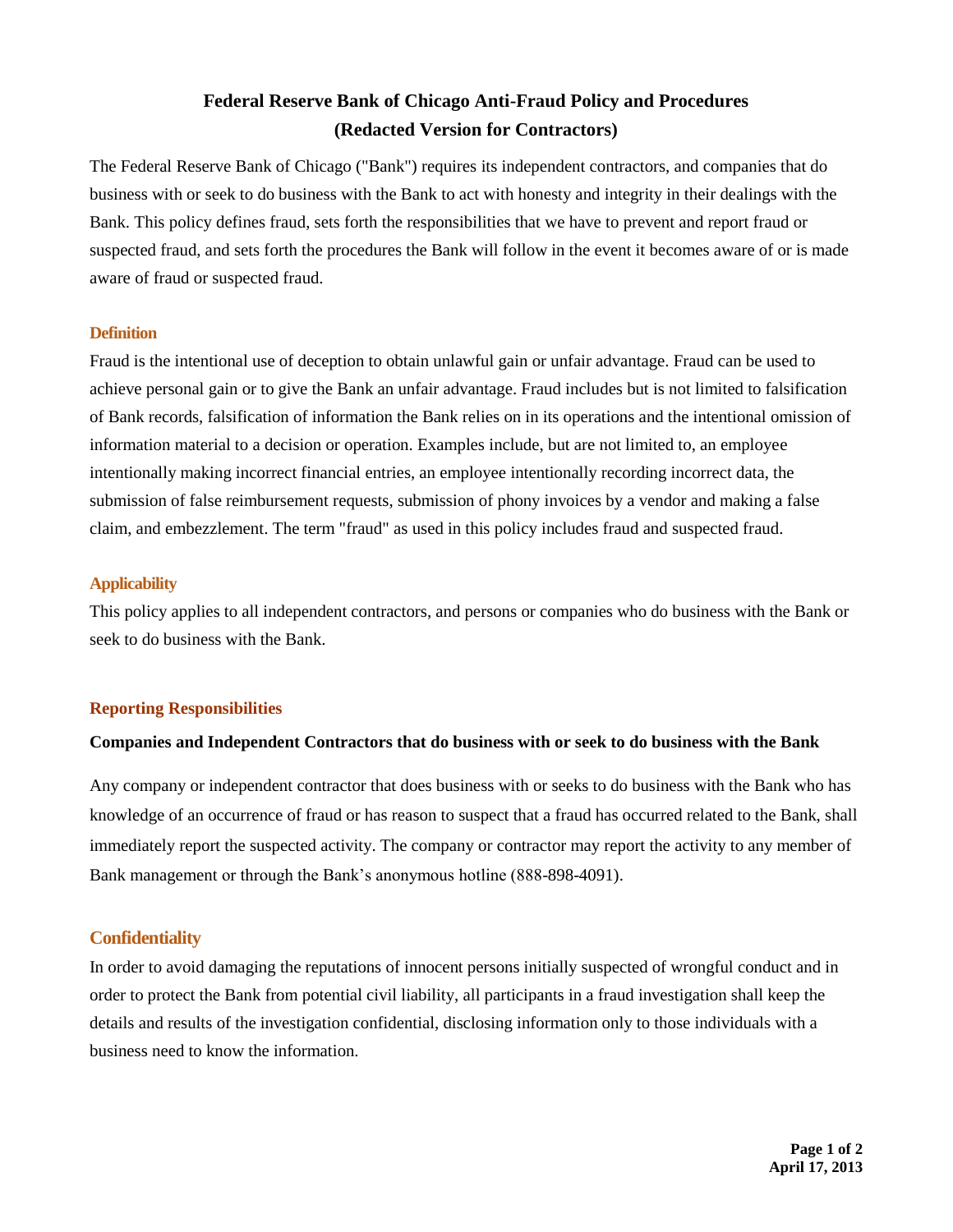# **Federal Reserve Bank of Chicago Anti-Fraud Policy and Procedures (Redacted Version for Contractors)**

The Federal Reserve Bank of Chicago ("Bank") requires its independent contractors, and companies that do business with or seek to do business with the Bank to act with honesty and integrity in their dealings with the Bank. This policy defines fraud, sets forth the responsibilities that we have to prevent and report fraud or suspected fraud, and sets forth the procedures the Bank will follow in the event it becomes aware of or is made aware of fraud or suspected fraud.

#### **Definition**

Fraud is the intentional use of deception to obtain unlawful gain or unfair advantage. Fraud can be used to achieve personal gain or to give the Bank an unfair advantage. Fraud includes but is not limited to falsification of Bank records, falsification of information the Bank relies on in its operations and the intentional omission of information material to a decision or operation. Examples include, but are not limited to, an employee intentionally making incorrect financial entries, an employee intentionally recording incorrect data, the submission of false reimbursement requests, submission of phony invoices by a vendor and making a false claim, and embezzlement. The term "fraud" as used in this policy includes fraud and suspected fraud.

#### **Applicability**

This policy applies to all independent contractors, and persons or companies who do business with the Bank or seek to do business with the Bank.

#### **Reporting Responsibilities**

#### **Companies and Independent Contractors that do business with or seek to do business with the Bank**

Any company or independent contractor that does business with or seeks to do business with the Bank who has knowledge of an occurrence of fraud or has reason to suspect that a fraud has occurred related to the Bank, shall immediately report the suspected activity. The company or contractor may report the activity to any member of Bank management or through the Bank's anonymous hotline (888-898-4091).

#### **Confidentiality**

In order to avoid damaging the reputations of innocent persons initially suspected of wrongful conduct and in order to protect the Bank from potential civil liability, all participants in a fraud investigation shall keep the details and results of the investigation confidential, disclosing information only to those individuals with a business need to know the information.